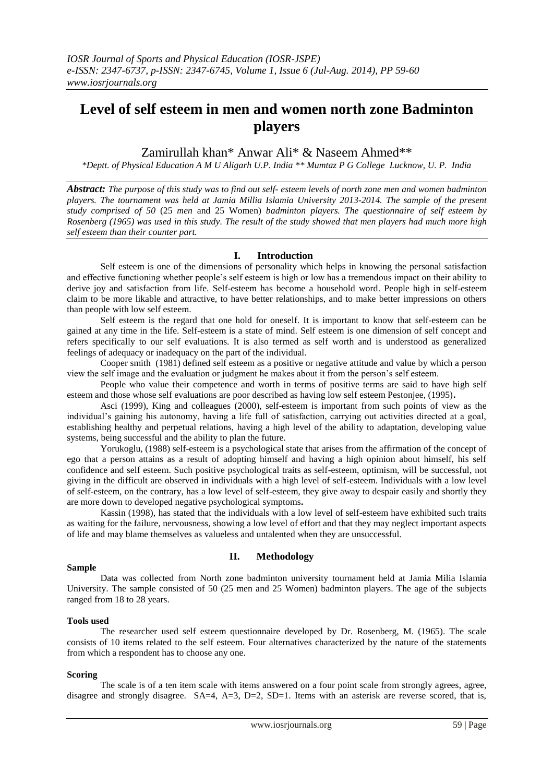# **Level of self esteem in men and women north zone Badminton players**

Zamirullah khan\* Anwar Ali\* & Naseem Ahmed\*\*

*\*Deptt. of Physical Education A M U Aligarh U.P. India \*\* Mumtaz P G College Lucknow, U. P. India*

*Abstract: The purpose of this study was to find out self- esteem levels of north zone men and women badminton players. The tournament was held at Jamia Millia Islamia University 2013-2014. The sample of the present study comprised of 50* (25 *men* and 25 Women) *badminton players. The questionnaire of self esteem by Rosenberg (1965) was used in this study. The result of the study showed that men players had much more high self esteem than their counter part.*

# **I. Introduction**

Self esteem is one of the dimensions of personality which helps in knowing the personal satisfaction and effective functioning whether people's self esteem is high or low has a tremendous impact on their ability to derive joy and satisfaction from life. Self-esteem has become a household word. People high in self-esteem claim to be more likable and attractive, to have better relationships, and to make better impressions on others than people with low self esteem.

Self esteem is the regard that one hold for oneself. It is important to know that self-esteem can be gained at any time in the life. Self-esteem is a state of mind. Self esteem is one dimension of self concept and refers specifically to our self evaluations. It is also termed as self worth and is understood as generalized feelings of adequacy or inadequacy on the part of the individual.

Cooper smith (1981) defined self esteem as a positive or negative attitude and value by which a person view the self image and the evaluation or judgment he makes about it from the person's self esteem.

People who value their competence and worth in terms of positive terms are said to have high self esteem and those whose self evaluations are poor described as having low self esteem Pestonjee, (1995)**.**

Asci (1999), King and colleagues (2000), self-esteem is important from such points of view as the individual's gaining his autonomy, having a life full of satisfaction, carrying out activities directed at a goal, establishing healthy and perpetual relations, having a high level of the ability to adaptation, developing value systems, being successful and the ability to plan the future.

Yorukoglu, (1988) self-esteem is a psychological state that arises from the affirmation of the concept of ego that a person attains as a result of adopting himself and having a high opinion about himself, his self confidence and self esteem. Such positive psychological traits as self-esteem, optimism, will be successful, not giving in the difficult are observed in individuals with a high level of self-esteem. Individuals with a low level of self-esteem, on the contrary, has a low level of self-esteem, they give away to despair easily and shortly they are more down to developed negative psychological symptoms**.**

Kassin (1998), has stated that the individuals with a low level of self-esteem have exhibited such traits as waiting for the failure, nervousness, showing a low level of effort and that they may neglect important aspects of life and may blame themselves as valueless and untalented when they are unsuccessful.

# **II. Methodology**

## **Sample**

Data was collected from North zone badminton university tournament held at Jamia Milia Islamia University. The sample consisted of 50 (25 men and 25 Women) badminton players. The age of the subjects ranged from 18 to 28 years.

## **Tools used**

The researcher used self esteem questionnaire developed by Dr. Rosenberg, M. (1965). The scale consists of 10 items related to the self esteem. Four alternatives characterized by the nature of the statements from which a respondent has to choose any one.

## **Scoring**

The scale is of a ten item scale with items answered on a four point scale from strongly agrees, agree, disagree and strongly disagree.  $SA=4$ ,  $A=3$ ,  $D=2$ ,  $SD=1$ . Items with an asterisk are reverse scored, that is,